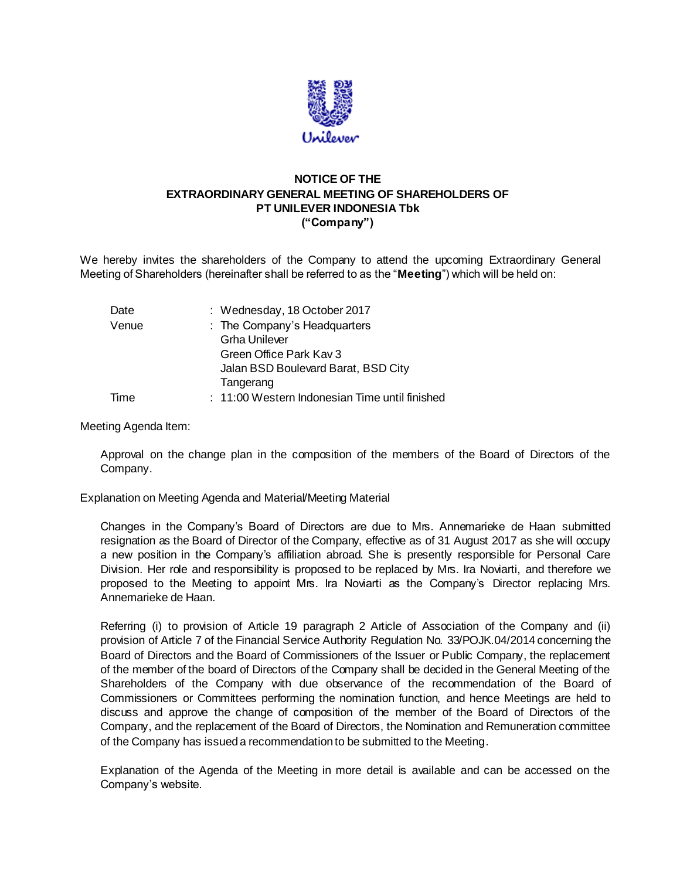

## **NOTICE OF THE EXTRAORDINARY GENERAL MEETING OF SHAREHOLDERS OF PT UNILEVER INDONESIA Tbk ("Company")**

We hereby invites the shareholders of the Company to attend the upcoming Extraordinary General Meeting of Shareholders (hereinafter shall be referred to as the "**Meeting**") which will be held on:

| Date  | : Wednesday, 18 October 2017                   |
|-------|------------------------------------------------|
| Venue | : The Company's Headquarters                   |
|       | <b>Grha Unilever</b>                           |
|       | Green Office Park Kay 3                        |
|       | Jalan BSD Boulevard Barat, BSD City            |
|       | Tangerang                                      |
| Time  | : 11:00 Western Indonesian Time until finished |
|       |                                                |

## Meeting Agenda Item:

Approval on the change plan in the composition of the members of the Board of Directors of the Company.

Explanation on Meeting Agenda and Material/Meeting Material

Changes in the Company's Board of Directors are due to Mrs. Annemarieke de Haan submitted resignation as the Board of Director of the Company, effective as of 31 August 2017 as she will occupy a new position in the Company's affiliation abroad. She is presently responsible for Personal Care Division. Her role and responsibility is proposed to be replaced by Mrs. Ira Noviarti, and therefore we proposed to the Meeting to appoint Mrs. Ira Noviarti as the Company's Director replacing Mrs. Annemarieke de Haan.

Referring (i) to provision of Article 19 paragraph 2 Article of Association of the Company and (ii) provision of Article 7 of the Financial Service Authority Regulation No. 33/POJK.04/2014 concerning the Board of Directors and the Board of Commissioners of the Issuer or Public Company, the replacement of the member of the board of Directors of the Company shall be decided in the General Meeting of the Shareholders of the Company with due observance of the recommendation of the Board of Commissioners or Committees performing the nomination function, and hence Meetings are held to discuss and approve the change of composition of the member of the Board of Directors of the Company, and the replacement of the Board of Directors, the Nomination and Remuneration committee of the Company has issued a recommendation to be submitted to the Meeting.

Explanation of the Agenda of the Meeting in more detail is available and can be accessed on the Company's website.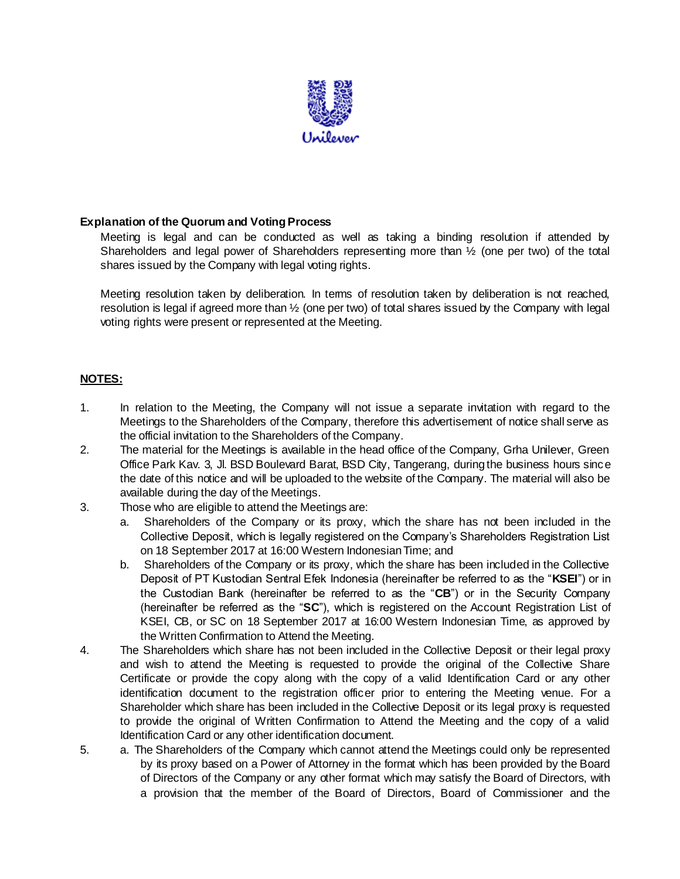

## **Explanation of the Quorum and Voting Process**

Meeting is legal and can be conducted as well as taking a binding resolution if attended by Shareholders and legal power of Shareholders representing more than ½ (one per two) of the total shares issued by the Company with legal voting rights.

Meeting resolution taken by deliberation. In terms of resolution taken by deliberation is not reached, resolution is legal if agreed more than ½ (one per two) of total shares issued by the Company with legal voting rights were present or represented at the Meeting.

## **NOTES:**

- 1. In relation to the Meeting, the Company will not issue a separate invitation with regard to the Meetings to the Shareholders of the Company, therefore this advertisement of notice shall serve as the official invitation to the Shareholders of the Company.
- 2. The material for the Meetings is available in the head office of the Company, Grha Unilever, Green Office Park Kav. 3, Jl. BSD Boulevard Barat, BSD City, Tangerang, during the business hours since the date of this notice and will be uploaded to the website of the Company. The material will also be available during the day of the Meetings.
- 3. Those who are eligible to attend the Meetings are:
	- a. Shareholders of the Company or its proxy, which the share has not been included in the Collective Deposit, which is legally registered on the Company's Shareholders Registration List on 18 September 2017 at 16:00 Western Indonesian Time; and
	- b. Shareholders of the Company or its proxy, which the share has been included in the Collective Deposit of PT Kustodian Sentral Efek Indonesia (hereinafter be referred to as the "**KSEI**") or in the Custodian Bank (hereinafter be referred to as the "**CB**") or in the Security Company (hereinafter be referred as the "**SC**"), which is registered on the Account Registration List of KSEI, CB, or SC on 18 September 2017 at 16:00 Western Indonesian Time, as approved by the Written Confirmation to Attend the Meeting.
- 4. The Shareholders which share has not been included in the Collective Deposit or their legal proxy and wish to attend the Meeting is requested to provide the original of the Collective Share Certificate or provide the copy along with the copy of a valid Identification Card or any other identification document to the registration officer prior to entering the Meeting venue. For a Shareholder which share has been included in the Collective Deposit or its legal proxy is requested to provide the original of Written Confirmation to Attend the Meeting and the copy of a valid Identification Card or any other identification document.
- 5. a. The Shareholders of the Company which cannot attend the Meetings could only be represented by its proxy based on a Power of Attorney in the format which has been provided by the Board of Directors of the Company or any other format which may satisfy the Board of Directors, with a provision that the member of the Board of Directors, Board of Commissioner and the